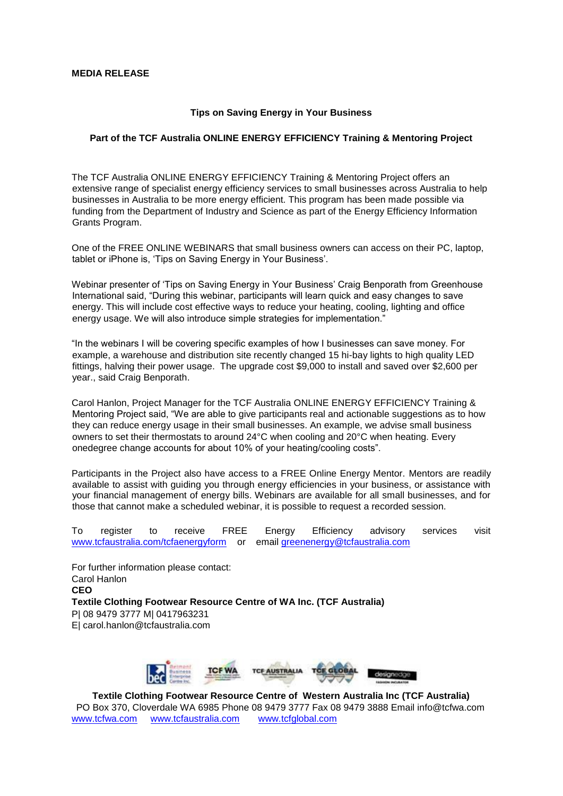## **Tips on Saving Energy in Your Business**

## **Part of the TCF Australia ONLINE ENERGY EFFICIENCY Training & Mentoring Project**

The TCF Australia ONLINE ENERGY EFFICIENCY Training & Mentoring Project offers an extensive range of specialist energy efficiency services to small businesses across Australia to help businesses in Australia to be more energy efficient. This program has been made possible via funding from the Department of Industry and Science as part of the Energy Efficiency Information Grants Program.

One of the FREE ONLINE WEBINARS that small business owners can access on their PC, laptop, tablet or iPhone is, 'Tips on Saving Energy in Your Business'.

Webinar presenter of 'Tips on Saving Energy in Your Business' Craig Benporath from Greenhouse International said, "During this webinar, participants will learn quick and easy changes to save energy. This will include cost effective ways to reduce your heating, cooling, lighting and office energy usage. We will also introduce simple strategies for implementation."

"In the webinars I will be covering specific examples of how I businesses can save money. For example, a warehouse and distribution site recently changed 15 hi-bay lights to high quality LED fittings, halving their power usage. The upgrade cost \$9,000 to install and saved over \$2,600 per year., said Craig Benporath.

Carol Hanlon, Project Manager for the TCF Australia ONLINE ENERGY EFFICIENCY Training & Mentoring Project said, "We are able to give participants real and actionable suggestions as to how they can reduce energy usage in their small businesses. An example, we advise small business owners to set their thermostats to around 24°C when cooling and 20°C when heating. Every onedegree change accounts for about 10% of your heating/cooling costs".

Participants in the Project also have access to a FREE Online Energy Mentor. Mentors are readily available to assist with guiding you through energy efficiencies in your business, or assistance with your financial management of energy bills. Webinars are available for all small businesses, and for those that cannot make a scheduled webinar, it is possible to request a recorded session.

To register to receive FREE Energy Efficiency advisory services visit [www.tcfaustralia.com/tcfaenergyform](http://www.tcfaustralia.com/tcfaenergyform) or email greenenergy@tcfaustralia.com

For further information please contact: Carol Hanlon **CEO Textile Clothing Footwear Resource Centre of WA Inc. (TCF Australia)**  P| 08 9479 3777 M| 0417963231 E| carol.hanlon@tcfaustralia.com



**Textile Clothing Footwear Resource Centre of Western Australia Inc (TCF Australia)** PO Box 370, Cloverdale WA 6985 Phone 08 9479 3777 Fax 08 9479 3888 Email info@tcfwa.com [www.tcfwa.com](http://www.tcfwa.com/) [www.tcfaustralia.com](http://www.tcfaustralia.com/) [www.tcfglobal.com](http://www.tcfglobal.com/)